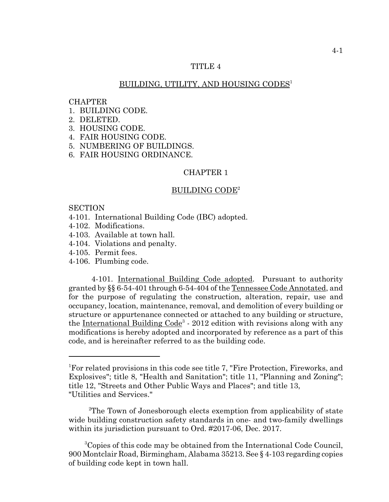## TITLE 4

## BUILDING, UTILITY, AND HOUSING CODES<sup>1</sup>

### CHAPTER

- 1. BUILDING CODE.
- 2. DELETED.
- 3. HOUSING CODE.
- 4. FAIR HOUSING CODE.
- 5. NUMBERING OF BUILDINGS.
- 6. FAIR HOUSING ORDINANCE.

### CHAPTER 1

### BUILDING CODE2

#### **SECTION**

- 4-101. International Building Code (IBC) adopted.
- 4-102. Modifications.
- 4-103. Available at town hall.
- 4-104. Violations and penalty.
- 4-105. Permit fees.
- 4-106. Plumbing code.

4-101. International Building Code adopted. Pursuant to authority granted by §§ 6-54-401 through 6-54-404 of the Tennessee Code Annotated, and for the purpose of regulating the construction, alteration, repair, use and occupancy, location, maintenance, removal, and demolition of every building or structure or appurtenance connected or attached to any building or structure, the International Building Code<sup>3</sup> - 2012 edition with revisions along with any modifications is hereby adopted and incorporated by reference as a part of this code, and is hereinafter referred to as the building code.

<sup>2</sup>The Town of Jonesborough elects exemption from applicability of state wide building construction safety standards in one- and two-family dwellings within its jurisdiction pursuant to Ord. #2017-06, Dec. 2017.

<sup>3</sup>Copies of this code may be obtained from the International Code Council, 900 Montclair Road, Birmingham, Alabama 35213. See § 4-103 regarding copies of building code kept in town hall.

<sup>1</sup> For related provisions in this code see title 7, "Fire Protection, Fireworks, and Explosives"; title 8, "Health and Sanitation"; title 11, "Planning and Zoning"; title 12, "Streets and Other Public Ways and Places"; and title 13, "Utilities and Services."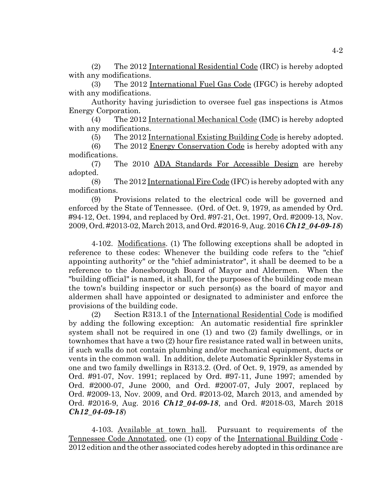(2) The 2012 International Residential Code (IRC) is hereby adopted with any modifications.

 (3) The 2012 International Fuel Gas Code (IFGC) is hereby adopted with any modifications.

Authority having jurisdiction to oversee fuel gas inspections is Atmos Energy Corporation.

 (4) The 2012 International Mechanical Code (IMC) is hereby adopted with any modifications.

(5) The 2012 International Existing Building Code is hereby adopted.

 (6) The 2012 Energy Conservation Code is hereby adopted with any modifications.

(7) The 2010 ADA Standards For Accessible Design are hereby adopted.

 (8) The 2012 International Fire Code (IFC) is hereby adopted with any modifications.

(9) Provisions related to the electrical code will be governed and enforced by the State of Tennessee. (Ord. of Oct. 9, 1979, as amended by Ord. #94-12, Oct. 1994, and replaced by Ord. #97-21, Oct. 1997, Ord. #2009-13, Nov. 2009, Ord. #2013-02, March 2013, and Ord. #2016-9, Aug. 2016 *Ch12\_04-09-18*)

4-102. Modifications. (1) The following exceptions shall be adopted in reference to these codes: Whenever the building code refers to the "chief appointing authority" or the "chief administrator", it shall be deemed to be a reference to the Jonesborough Board of Mayor and Aldermen. When the "building official" is named, it shall, for the purposes of the building code mean the town's building inspector or such person(s) as the board of mayor and aldermen shall have appointed or designated to administer and enforce the provisions of the building code.

(2) Section R313.1 of the International Residential Code is modified by adding the following exception: An automatic residential fire sprinkler system shall not be required in one (1) and two (2) family dwellings, or in townhomes that have a two (2) hour fire resistance rated wall in between units, if such walls do not contain plumbing and/or mechanical equipment, ducts or vents in the common wall. In addition, delete Automatic Sprinkler Systems in one and two family dwellings in R313.2. (Ord. of Oct. 9, 1979, as amended by Ord. #91-07, Nov. 1991; replaced by Ord. #97-11, June 1997; amended by Ord. #2000-07, June 2000, and Ord. #2007-07, July 2007, replaced by Ord. #2009-13, Nov. 2009, and Ord. #2013-02, March 2013, and amended by Ord. #2016-9, Aug. 2016 *Ch12\_04-09-18*, and Ord. #2018-03, March 2018 *Ch12\_04-09-18*)

4-103. Available at town hall. Pursuant to requirements of the Tennessee Code Annotated, one (1) copy of the International Building Code - 2012 edition and the other associated codes hereby adopted in this ordinance are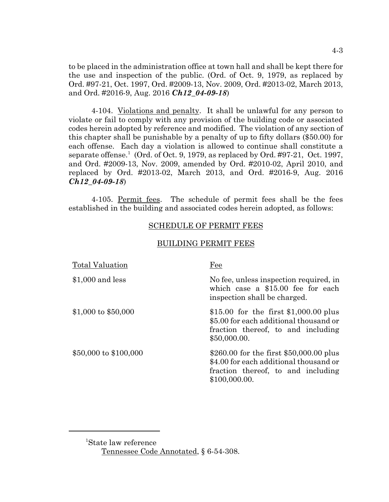to be placed in the administration office at town hall and shall be kept there for the use and inspection of the public. (Ord. of Oct. 9, 1979, as replaced by Ord. #97-21, Oct. 1997, Ord. #2009-13, Nov. 2009, Ord. #2013-02, March 2013, and Ord. #2016-9, Aug. 2016 *Ch12\_04-09-18*)

4-104. Violations and penalty. It shall be unlawful for any person to violate or fail to comply with any provision of the building code or associated codes herein adopted by reference and modified. The violation of any section of this chapter shall be punishable by a penalty of up to fifty dollars (\$50.00) for each offense. Each day a violation is allowed to continue shall constitute a separate offense.<sup>1</sup> (Ord. of Oct. 9, 1979, as replaced by Ord. #97-21, Oct. 1997, and Ord. #2009-13, Nov. 2009, amended by Ord. #2010-02, April 2010, and replaced by Ord. #2013-02, March 2013, and Ord. #2016-9, Aug. 2016 *Ch12\_04-09-18*)

4-105. Permit fees. The schedule of permit fees shall be the fees established in the building and associated codes herein adopted, as follows:

### SCHEDULE OF PERMIT FEES

### BUILDING PERMIT FEES

| <b>Total Valuation</b> | Fee                                                                                                                                       |
|------------------------|-------------------------------------------------------------------------------------------------------------------------------------------|
| $$1,000$ and less      | No fee, unless inspection required, in<br>which case a $$15.00$ fee for each<br>inspection shall be charged.                              |
| $$1,000$ to $$50,000$  | \$15.00 for the first \$1,000.00 plus<br>\$5.00 for each additional thousand or<br>fraction thereof, to and including<br>\$50,000.00.     |
| \$50,000 to \$100,000  | \$260.00 for the first $$50,000.00$ plus<br>\$4.00 for each additional thousand or<br>fraction thereof, to and including<br>\$100,000.00. |

 <sup>1</sup> State law reference Tennessee Code Annotated, § 6-54-308.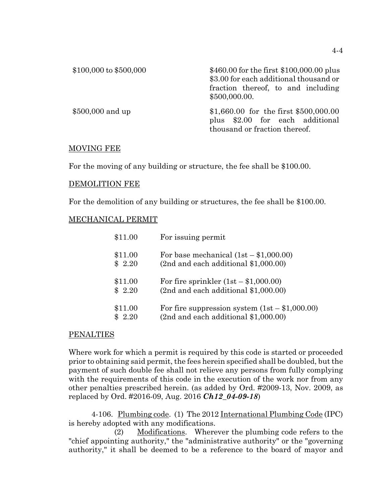| \$100,000 to \$500,000 | \$460.00 for the first \$100,000.00 plus<br>\$3.00 for each additional thousand or<br>fraction thereof, to and including<br>\$500,000.00. |
|------------------------|-------------------------------------------------------------------------------------------------------------------------------------------|
| $$500,000$ and up      | $$1,660.00$ for the first $$500,000.00$<br>plus \$2.00 for each additional<br>thousand or fraction thereof.                               |

## MOVING FEE

For the moving of any building or structure, the fee shall be \$100.00.

## DEMOLITION FEE

For the demolition of any building or structures, the fee shall be \$100.00.

# MECHANICAL PERMIT

| \$11.00 | For issuing permit                              |
|---------|-------------------------------------------------|
| \$11.00 | For base mechanical $(1st - $1,000.00)$         |
| \$2.20  | $(2nd$ and each additional \$1,000.00)          |
| \$11.00 | For fire sprinkler $(1st - $1,000.00)$          |
| \$2.20  | $(2nd$ and each additional \$1,000.00)          |
| \$11.00 | For fire suppression system $(1st - $1,000.00)$ |
| 2.20    | $(2nd$ and each additional $$1,000.00)$         |

# PENALTIES

Where work for which a permit is required by this code is started or proceeded prior to obtaining said permit, the fees herein specified shall be doubled, but the payment of such double fee shall not relieve any persons from fully complying with the requirements of this code in the execution of the work nor from any other penalties prescribed herein. (as added by Ord. #2009-13, Nov. 2009, as replaced by Ord. #2016-09, Aug. 2016 *Ch12\_04-09-18*)

4-106. Plumbing code. (1) The 2012 International Plumbing Code (IPC) is hereby adopted with any modifications.

(2) Modifications. Wherever the plumbing code refers to the "chief appointing authority," the "administrative authority" or the "governing authority," it shall be deemed to be a reference to the board of mayor and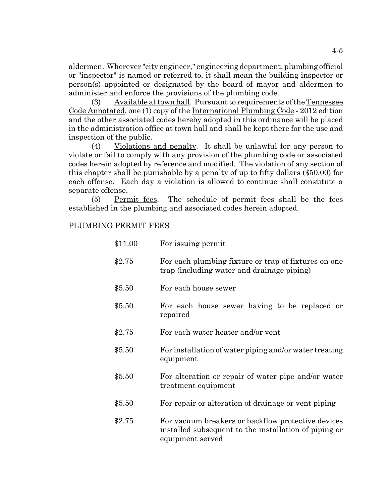aldermen. Wherever "city engineer," engineering department, plumbing official or "inspector" is named or referred to, it shall mean the building inspector or person(s) appointed or designated by the board of mayor and aldermen to administer and enforce the provisions of the plumbing code.

(3) Available at town hall. Pursuant to requirements of the Tennessee Code Annotated, one (1) copy of the International Plumbing Code - 2012 edition and the other associated codes hereby adopted in this ordinance will be placed in the administration office at town hall and shall be kept there for the use and inspection of the public.

(4) Violations and penalty. It shall be unlawful for any person to violate or fail to comply with any provision of the plumbing code or associated codes herein adopted by reference and modified. The violation of any section of this chapter shall be punishable by a penalty of up to fifty dollars (\$50.00) for each offense. Each day a violation is allowed to continue shall constitute a separate offense.

(5) Permit fees. The schedule of permit fees shall be the fees established in the plumbing and associated codes herein adopted.

# PLUMBING PERMIT FEES

| \$11.00 | For issuing permit                                                                                                              |
|---------|---------------------------------------------------------------------------------------------------------------------------------|
| \$2.75  | For each plumbing fixture or trap of fixtures on one<br>trap (including water and drainage piping)                              |
| \$5.50  | For each house sewer                                                                                                            |
| \$5.50  | For each house sewer having to be replaced or<br>repaired                                                                       |
| \$2.75  | For each water heater and/or vent                                                                                               |
| \$5.50  | For installation of water piping and/or water treating<br>equipment                                                             |
| \$5.50  | For alteration or repair of water pipe and/or water<br>treatment equipment                                                      |
| \$5.50  | For repair or alteration of drainage or vent piping                                                                             |
| \$2.75  | For vacuum breakers or backflow protective devices<br>installed subsequent to the installation of piping or<br>equipment served |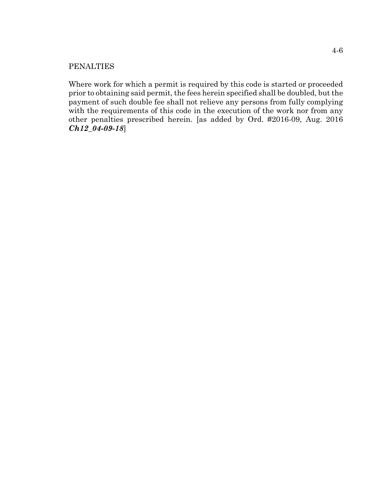# PENALTIES

Where work for which a permit is required by this code is started or proceeded prior to obtaining said permit, the fees herein specified shall be doubled, but the payment of such double fee shall not relieve any persons from fully complying with the requirements of this code in the execution of the work nor from any other penalties prescribed herein. [as added by Ord. #2016-09, Aug. 2016 *Ch12\_04-09-18*]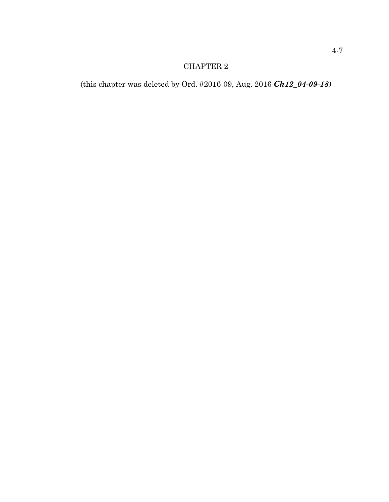(this chapter was deleted by Ord. #2016-09, Aug. 2016 *Ch12\_04-09-18)*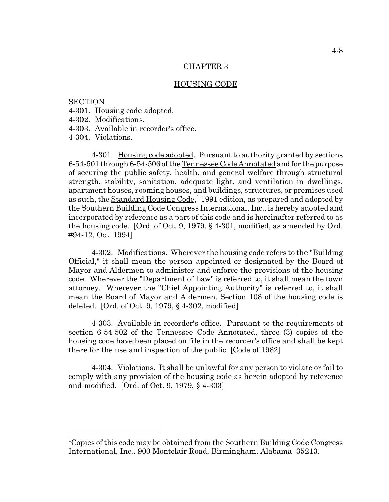### HOUSING CODE

## **SECTION**

- 4-301. Housing code adopted.
- 4-302. Modifications.
- 4-303. Available in recorder's office.

4-304. Violations.

4-301. Housing code adopted. Pursuant to authority granted by sections 6-54-501 through 6-54-506 of the Tennessee Code Annotated and for the purpose of securing the public safety, health, and general welfare through structural strength, stability, sanitation, adequate light, and ventilation in dwellings, apartment houses, rooming houses, and buildings, structures, or premises used as such, the **Standard Housing Code**,<sup>1</sup> 1991 edition, as prepared and adopted by the Southern Building Code Congress International, Inc., is hereby adopted and incorporated by reference as a part of this code and is hereinafter referred to as the housing code. [Ord. of Oct. 9, 1979, § 4-301, modified, as amended by Ord. #94-12, Oct. 1994]

4-302. Modifications. Wherever the housing code refers to the "Building Official," it shall mean the person appointed or designated by the Board of Mayor and Aldermen to administer and enforce the provisions of the housing code. Wherever the "Department of Law" is referred to, it shall mean the town attorney. Wherever the "Chief Appointing Authority" is referred to, it shall mean the Board of Mayor and Aldermen. Section 108 of the housing code is deleted. [Ord. of Oct. 9, 1979, § 4-302, modified]

4-303. Available in recorder's office. Pursuant to the requirements of section 6-54-502 of the Tennessee Code Annotated, three (3) copies of the housing code have been placed on file in the recorder's office and shall be kept there for the use and inspection of the public. [Code of 1982]

4-304. Violations. It shall be unlawful for any person to violate or fail to comply with any provision of the housing code as herein adopted by reference and modified. [Ord. of Oct. 9, 1979, § 4-303]

<sup>&</sup>lt;sup>1</sup>Copies of this code may be obtained from the Southern Building Code Congress International, Inc., 900 Montclair Road, Birmingham, Alabama 35213.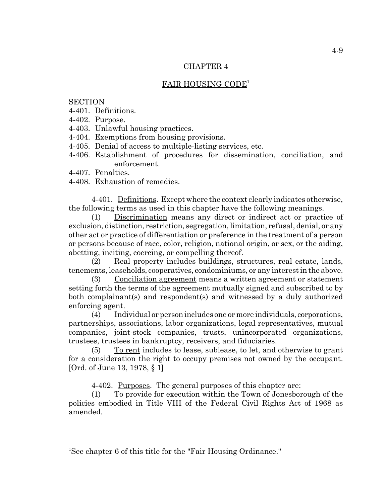# FAIR HOUSING CODE<sup>1</sup>

# **SECTION**

- 4-401. Definitions.
- 4-402. Purpose.
- 4-403. Unlawful housing practices.
- 4-404. Exemptions from housing provisions.
- 4-405. Denial of access to multiple-listing services, etc.
- 4-406. Establishment of procedures for dissemination, conciliation, and enforcement.
- 4-407. Penalties.
- 4-408. Exhaustion of remedies.

4-401. Definitions. Except where the context clearly indicates otherwise, the following terms as used in this chapter have the following meanings.

(1) Discrimination means any direct or indirect act or practice of exclusion, distinction, restriction, segregation, limitation, refusal, denial, or any other act or practice of differentiation or preference in the treatment of a person or persons because of race, color, religion, national origin, or sex, or the aiding, abetting, inciting, coercing, or compelling thereof.

(2) Real property includes buildings, structures, real estate, lands, tenements, leaseholds, cooperatives, condominiums, or any interest in the above.

(3) Conciliation agreement means a written agreement or statement setting forth the terms of the agreement mutually signed and subscribed to by both complainant(s) and respondent(s) and witnessed by a duly authorized enforcing agent.

(4) Individual or person includes one or more individuals, corporations, partnerships, associations, labor organizations, legal representatives, mutual companies, joint-stock companies, trusts, unincorporated organizations, trustees, trustees in bankruptcy, receivers, and fiduciaries.

(5) To rent includes to lease, sublease, to let, and otherwise to grant for a consideration the right to occupy premises not owned by the occupant. [Ord. of June 13, 1978, § 1]

4-402. Purposes. The general purposes of this chapter are:

(1) To provide for execution within the Town of Jonesborough of the policies embodied in Title VIII of the Federal Civil Rights Act of 1968 as amended.

<sup>&</sup>lt;sup>1</sup>See chapter 6 of this title for the "Fair Housing Ordinance."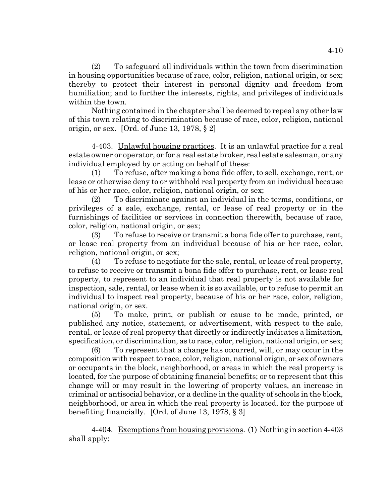(2) To safeguard all individuals within the town from discrimination in housing opportunities because of race, color, religion, national origin, or sex; thereby to protect their interest in personal dignity and freedom from humiliation; and to further the interests, rights, and privileges of individuals within the town.

Nothing contained in the chapter shall be deemed to repeal any other law of this town relating to discrimination because of race, color, religion, national origin, or sex. [Ord. of June 13, 1978, § 2]

4-403. Unlawful housing practices. It is an unlawful practice for a real estate owner or operator, or for a real estate broker, real estate salesman, or any individual employed by or acting on behalf of these:

(1) To refuse, after making a bona fide offer, to sell, exchange, rent, or lease or otherwise deny to or withhold real property from an individual because of his or her race, color, religion, national origin, or sex;

(2) To discriminate against an individual in the terms, conditions, or privileges of a sale, exchange, rental, or lease of real property or in the furnishings of facilities or services in connection therewith, because of race, color, religion, national origin, or sex;

(3) To refuse to receive or transmit a bona fide offer to purchase, rent, or lease real property from an individual because of his or her race, color, religion, national origin, or sex;

(4) To refuse to negotiate for the sale, rental, or lease of real property, to refuse to receive or transmit a bona fide offer to purchase, rent, or lease real property, to represent to an individual that real property is not available for inspection, sale, rental, or lease when it is so available, or to refuse to permit an individual to inspect real property, because of his or her race, color, religion, national origin, or sex.

(5) To make, print, or publish or cause to be made, printed, or published any notice, statement, or advertisement, with respect to the sale, rental, or lease of real property that directly or indirectly indicates a limitation, specification, or discrimination, as to race, color, religion, national origin, or sex;

(6) To represent that a change has occurred, will, or may occur in the composition with respect to race, color, religion, national origin, or sex of owners or occupants in the block, neighborhood, or areas in which the real property is located, for the purpose of obtaining financial benefits; or to represent that this change will or may result in the lowering of property values, an increase in criminal or antisocial behavior, or a decline in the quality of schools in the block, neighborhood, or area in which the real property is located, for the purpose of benefiting financially. [Ord. of June 13, 1978, § 3]

4-404. Exemptions from housing provisions. (1) Nothing in section 4-403 shall apply: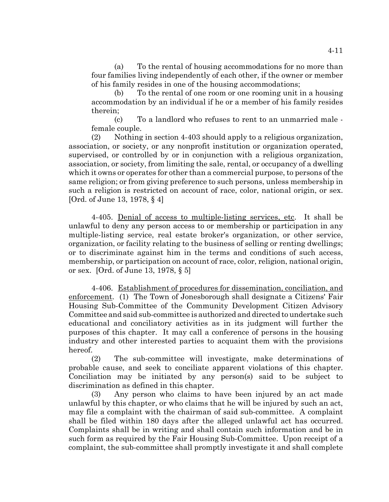(a) To the rental of housing accommodations for no more than four families living independently of each other, if the owner or member of his family resides in one of the housing accommodations;

(b) To the rental of one room or one rooming unit in a housing accommodation by an individual if he or a member of his family resides therein;

(c) To a landlord who refuses to rent to an unmarried male female couple.

(2) Nothing in section 4-403 should apply to a religious organization, association, or society, or any nonprofit institution or organization operated, supervised, or controlled by or in conjunction with a religious organization, association, or society, from limiting the sale, rental, or occupancy of a dwelling which it owns or operates for other than a commercial purpose, to persons of the same religion; or from giving preference to such persons, unless membership in such a religion is restricted on account of race, color, national origin, or sex. [Ord. of June 13, 1978, § 4]

4-405. Denial of access to multiple-listing services, etc. It shall be unlawful to deny any person access to or membership or participation in any multiple-listing service, real estate broker's organization, or other service, organization, or facility relating to the business of selling or renting dwellings; or to discriminate against him in the terms and conditions of such access, membership, or participation on account of race, color, religion, national origin, or sex. [Ord. of June 13, 1978, § 5]

4-406. Establishment of procedures for dissemination, conciliation, and enforcement. (1) The Town of Jonesborough shall designate a Citizens' Fair Housing Sub-Committee of the Community Development Citizen Advisory Committee and said sub-committee is authorized and directed to undertake such educational and conciliatory activities as in its judgment will further the purposes of this chapter. It may call a conference of persons in the housing industry and other interested parties to acquaint them with the provisions hereof.

(2) The sub-committee will investigate, make determinations of probable cause, and seek to conciliate apparent violations of this chapter. Conciliation may be initiated by any person(s) said to be subject to discrimination as defined in this chapter.

(3) Any person who claims to have been injured by an act made unlawful by this chapter, or who claims that he will be injured by such an act, may file a complaint with the chairman of said sub-committee. A complaint shall be filed within 180 days after the alleged unlawful act has occurred. Complaints shall be in writing and shall contain such information and be in such form as required by the Fair Housing Sub-Committee. Upon receipt of a complaint, the sub-committee shall promptly investigate it and shall complete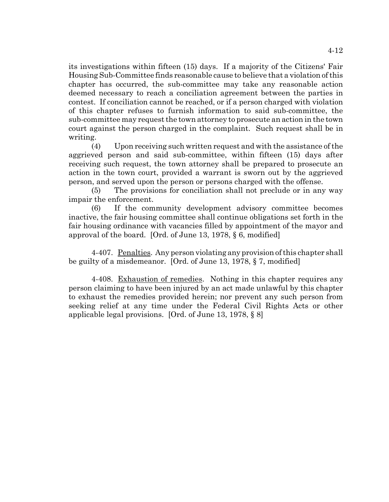its investigations within fifteen (15) days. If a majority of the Citizens' Fair Housing Sub-Committee finds reasonable cause to believe that a violation of this chapter has occurred, the sub-committee may take any reasonable action deemed necessary to reach a conciliation agreement between the parties in contest. If conciliation cannot be reached, or if a person charged with violation of this chapter refuses to furnish information to said sub-committee, the sub-committee may request the town attorney to prosecute an action in the town court against the person charged in the complaint. Such request shall be in writing.

(4) Upon receiving such written request and with the assistance of the aggrieved person and said sub-committee, within fifteen (15) days after receiving such request, the town attorney shall be prepared to prosecute an action in the town court, provided a warrant is sworn out by the aggrieved person, and served upon the person or persons charged with the offense.

(5) The provisions for conciliation shall not preclude or in any way impair the enforcement.

(6) If the community development advisory committee becomes inactive, the fair housing committee shall continue obligations set forth in the fair housing ordinance with vacancies filled by appointment of the mayor and approval of the board. [Ord. of June 13, 1978, § 6, modified]

4-407. Penalties. Any person violating any provision of this chapter shall be guilty of a misdemeanor. [Ord. of June 13, 1978, § 7, modified]

4-408. Exhaustion of remedies. Nothing in this chapter requires any person claiming to have been injured by an act made unlawful by this chapter to exhaust the remedies provided herein; nor prevent any such person from seeking relief at any time under the Federal Civil Rights Acts or other applicable legal provisions. [Ord. of June 13, 1978, § 8]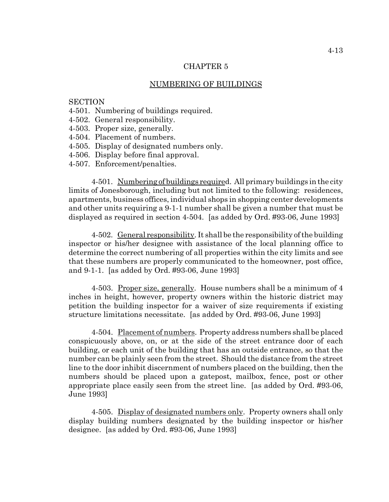### NUMBERING OF BUILDINGS

### **SECTION**

- 4-501. Numbering of buildings required.
- 4-502. General responsibility.
- 4-503. Proper size, generally.
- 4-504. Placement of numbers.
- 4-505. Display of designated numbers only.
- 4-506. Display before final approval.
- 4-507. Enforcement/penalties.

4-501. Numbering of buildings required. All primary buildings in the city limits of Jonesborough, including but not limited to the following: residences, apartments, business offices, individual shops in shopping center developments and other units requiring a 9-1-1 number shall be given a number that must be displayed as required in section 4-504. [as added by Ord. #93-06, June 1993]

4-502. General responsibility. It shall be the responsibility of the building inspector or his/her designee with assistance of the local planning office to determine the correct numbering of all properties within the city limits and see that these numbers are properly communicated to the homeowner, post office, and 9-1-1. [as added by Ord. #93-06, June 1993]

4-503. Proper size, generally. House numbers shall be a minimum of 4 inches in height, however, property owners within the historic district may petition the building inspector for a waiver of size requirements if existing structure limitations necessitate. [as added by Ord. #93-06, June 1993]

4-504. Placement of numbers. Property address numbers shall be placed conspicuously above, on, or at the side of the street entrance door of each building, or each unit of the building that has an outside entrance, so that the number can be plainly seen from the street. Should the distance from the street line to the door inhibit discernment of numbers placed on the building, then the numbers should be placed upon a gatepost, mailbox, fence, post or other appropriate place easily seen from the street line. [as added by Ord. #93-06, June 1993]

4-505. Display of designated numbers only. Property owners shall only display building numbers designated by the building inspector or his/her designee. [as added by Ord. #93-06, June 1993]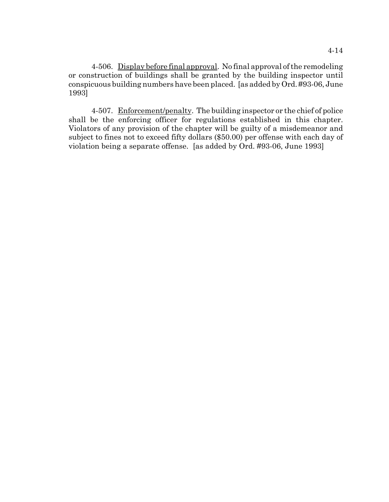4-506. Display before final approval. No final approval of the remodeling or construction of buildings shall be granted by the building inspector until conspicuous building numbers have been placed. [as added by Ord. #93-06, June 1993]

4-507. Enforcement/penalty. The building inspector or the chief of police shall be the enforcing officer for regulations established in this chapter. Violators of any provision of the chapter will be guilty of a misdemeanor and subject to fines not to exceed fifty dollars (\$50.00) per offense with each day of violation being a separate offense. [as added by Ord. #93-06, June 1993]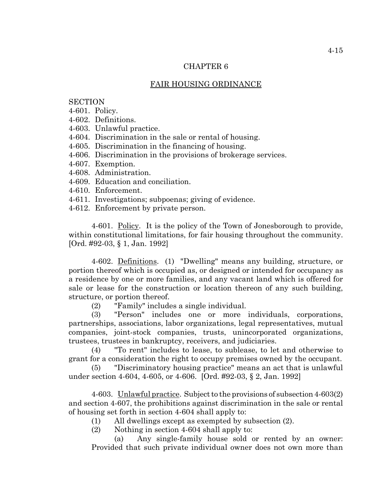# FAIR HOUSING ORDINANCE

# **SECTION**

4-601. Policy.

4-602. Definitions.

4-603. Unlawful practice.

4-604. Discrimination in the sale or rental of housing.

4-605. Discrimination in the financing of housing.

4-606. Discrimination in the provisions of brokerage services.

- 4-607. Exemption.
- 4-608. Administration.
- 4-609. Education and conciliation.
- 4-610. Enforcement.
- 4-611. Investigations; subpoenas; giving of evidence.

4-612. Enforcement by private person.

4-601. Policy. It is the policy of the Town of Jonesborough to provide, within constitutional limitations, for fair housing throughout the community. [Ord. #92-03, § 1, Jan. 1992]

4-602. Definitions. (1) "Dwelling" means any building, structure, or portion thereof which is occupied as, or designed or intended for occupancy as a residence by one or more families, and any vacant land which is offered for sale or lease for the construction or location thereon of any such building, structure, or portion thereof.

(2) "Family" includes a single individual.

(3) "Person" includes one or more individuals, corporations, partnerships, associations, labor organizations, legal representatives, mutual companies, joint-stock companies, trusts, unincorporated organizations, trustees, trustees in bankruptcy, receivers, and judiciaries.

(4) "To rent" includes to lease, to sublease, to let and otherwise to grant for a consideration the right to occupy premises owned by the occupant.

(5) "Discriminatory housing practice" means an act that is unlawful under section 4-604, 4-605, or 4-606. [Ord. #92-03, § 2, Jan. 1992]

4-603. Unlawful practice. Subject to the provisions of subsection 4-603(2) and section 4-607, the prohibitions against discrimination in the sale or rental of housing set forth in section 4-604 shall apply to:

- (1) All dwellings except as exempted by subsection (2).
- (2) Nothing in section 4-604 shall apply to:

(a) Any single-family house sold or rented by an owner: Provided that such private individual owner does not own more than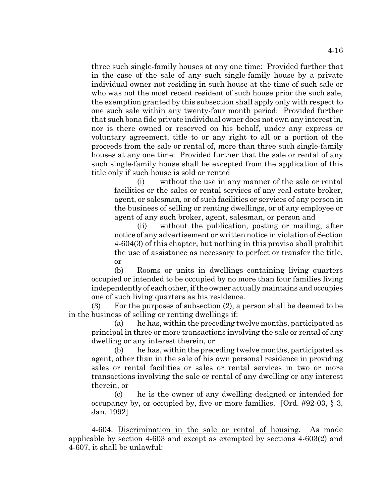three such single-family houses at any one time: Provided further that in the case of the sale of any such single-family house by a private individual owner not residing in such house at the time of such sale or who was not the most recent resident of such house prior the such sale, the exemption granted by this subsection shall apply only with respect to one such sale within any twenty-four month period: Provided further that such bona fide private individual owner does not own any interest in, nor is there owned or reserved on his behalf, under any express or voluntary agreement, title to or any right to all or a portion of the proceeds from the sale or rental of, more than three such single-family houses at any one time: Provided further that the sale or rental of any such single-family house shall be excepted from the application of this title only if such house is sold or rented

(i) without the use in any manner of the sale or rental facilities or the sales or rental services of any real estate broker, agent, or salesman, or of such facilities or services of any person in the business of selling or renting dwellings, or of any employee or agent of any such broker, agent, salesman, or person and

(ii) without the publication, posting or mailing, after notice of any advertisement or written notice in violation of Section 4-604(3) of this chapter, but nothing in this proviso shall prohibit the use of assistance as necessary to perfect or transfer the title, or

(b) Rooms or units in dwellings containing living quarters occupied or intended to be occupied by no more than four families living independently of each other, if the owner actually maintains and occupies one of such living quarters as his residence.

(3) For the purposes of subsection (2), a person shall be deemed to be in the business of selling or renting dwellings if:

(a) he has, within the preceding twelve months, participated as principal in three or more transactions involving the sale or rental of any dwelling or any interest therein, or

(b) he has, within the preceding twelve months, participated as agent, other than in the sale of his own personal residence in providing sales or rental facilities or sales or rental services in two or more transactions involving the sale or rental of any dwelling or any interest therein, or

(c) he is the owner of any dwelling designed or intended for occupancy by, or occupied by, five or more families. [Ord. #92-03, § 3, Jan. 1992]

4-604. Discrimination in the sale or rental of housing. As made applicable by section 4-603 and except as exempted by sections 4-603(2) and 4-607, it shall be unlawful: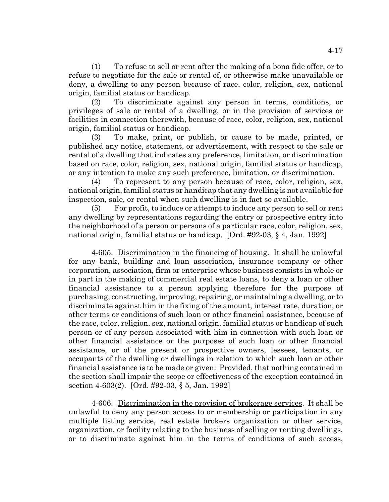(1) To refuse to sell or rent after the making of a bona fide offer, or to refuse to negotiate for the sale or rental of, or otherwise make unavailable or deny, a dwelling to any person because of race, color, religion, sex, national origin, familial status or handicap.

(2) To discriminate against any person in terms, conditions, or privileges of sale or rental of a dwelling, or in the provision of services or facilities in connection therewith, because of race, color, religion, sex, national origin, familial status or handicap.

(3) To make, print, or publish, or cause to be made, printed, or published any notice, statement, or advertisement, with respect to the sale or rental of a dwelling that indicates any preference, limitation, or discrimination based on race, color, religion, sex, national origin, familial status or handicap, or any intention to make any such preference, limitation, or discrimination.

(4) To represent to any person because of race, color, religion, sex, national origin, familial status or handicap that any dwelling is not available for inspection, sale, or rental when such dwelling is in fact so available.

(5) For profit, to induce or attempt to induce any person to sell or rent any dwelling by representations regarding the entry or prospective entry into the neighborhood of a person or persons of a particular race, color, religion, sex, national origin, familial status or handicap. [Ord. #92-03, § 4, Jan. 1992]

4-605. Discrimination in the financing of housing. It shall be unlawful for any bank, building and loan association, insurance company or other corporation, association, firm or enterprise whose business consists in whole or in part in the making of commercial real estate loans, to deny a loan or other financial assistance to a person applying therefore for the purpose of purchasing, constructing, improving, repairing, or maintaining a dwelling, or to discriminate against him in the fixing of the amount, interest rate, duration, or other terms or conditions of such loan or other financial assistance, because of the race, color, religion, sex, national origin, familial status or handicap of such person or of any person associated with him in connection with such loan or other financial assistance or the purposes of such loan or other financial assistance, or of the present or prospective owners, lessees, tenants, or occupants of the dwelling or dwellings in relation to which such loan or other financial assistance is to be made or given: Provided, that nothing contained in the section shall impair the scope or effectiveness of the exception contained in section 4-603(2). [Ord. #92-03, § 5, Jan. 1992]

4-606. Discrimination in the provision of brokerage services. It shall be unlawful to deny any person access to or membership or participation in any multiple listing service, real estate brokers organization or other service, organization, or facility relating to the business of selling or renting dwellings, or to discriminate against him in the terms of conditions of such access,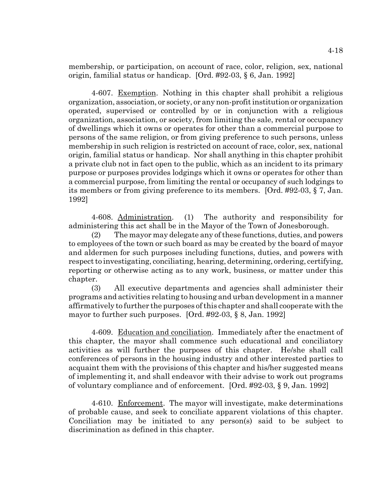membership, or participation, on account of race, color, religion, sex, national origin, familial status or handicap. [Ord. #92-03, § 6, Jan. 1992]

4-607. Exemption. Nothing in this chapter shall prohibit a religious organization, association, or society, or any non-profit institution or organization operated, supervised or controlled by or in conjunction with a religious organization, association, or society, from limiting the sale, rental or occupancy of dwellings which it owns or operates for other than a commercial purpose to persons of the same religion, or from giving preference to such persons, unless membership in such religion is restricted on account of race, color, sex, national origin, familial status or handicap. Nor shall anything in this chapter prohibit a private club not in fact open to the public, which as an incident to its primary purpose or purposes provides lodgings which it owns or operates for other than a commercial purpose, from limiting the rental or occupancy of such lodgings to its members or from giving preference to its members. [Ord. #92-03, § 7, Jan. 1992]

4-608. Administration. (1) The authority and responsibility for administering this act shall be in the Mayor of the Town of Jonesborough.

(2) The mayor may delegate any of these functions, duties, and powers to employees of the town or such board as may be created by the board of mayor and aldermen for such purposes including functions, duties, and powers with respect to investigating, conciliating, hearing, determining, ordering, certifying, reporting or otherwise acting as to any work, business, or matter under this chapter.

(3) All executive departments and agencies shall administer their programs and activities relating to housing and urban development in a manner affirmatively to further the purposes of this chapter and shall cooperate with the mayor to further such purposes. [Ord. #92-03, § 8, Jan. 1992]

4-609. Education and conciliation. Immediately after the enactment of this chapter, the mayor shall commence such educational and conciliatory activities as will further the purposes of this chapter. He/she shall call conferences of persons in the housing industry and other interested parties to acquaint them with the provisions of this chapter and his/her suggested means of implementing it, and shall endeavor with their advise to work out programs of voluntary compliance and of enforcement. [Ord. #92-03, § 9, Jan. 1992]

4-610. Enforcement. The mayor will investigate, make determinations of probable cause, and seek to conciliate apparent violations of this chapter. Conciliation may be initiated to any person(s) said to be subject to discrimination as defined in this chapter.